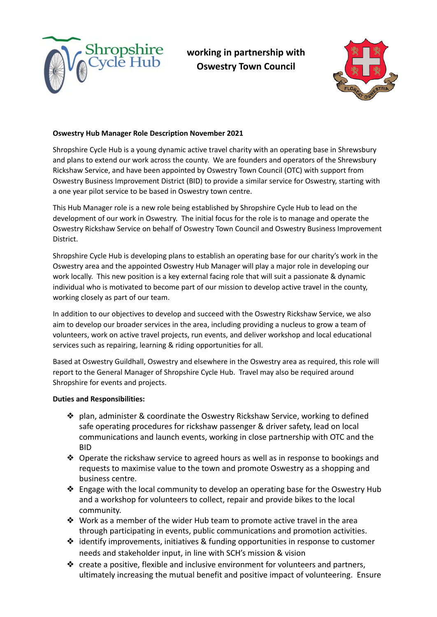

**working in partnership with Oswestry Town Council**



## **Oswestry Hub Manager Role Description November 2021**

Shropshire Cycle Hub is a young dynamic active travel charity with an operating base in Shrewsbury and plans to extend our work across the county. We are founders and operators of the Shrewsbury Rickshaw Service, and have been appointed by Oswestry Town Council (OTC) with support from Oswestry Business Improvement District (BID) to provide a similar service for Oswestry, starting with a one year pilot service to be based in Oswestry town centre.

This Hub Manager role is a new role being established by Shropshire Cycle Hub to lead on the development of our work in Oswestry. The initial focus for the role is to manage and operate the Oswestry Rickshaw Service on behalf of Oswestry Town Council and Oswestry Business Improvement District.

Shropshire Cycle Hub is developing plans to establish an operating base for our charity's work in the Oswestry area and the appointed Oswestry Hub Manager will play a major role in developing our work locally. This new position is a key external facing role that will suit a passionate & dynamic individual who is motivated to become part of our mission to develop active travel in the county, working closely as part of our team.

In addition to our objectives to develop and succeed with the Oswestry Rickshaw Service, we also aim to develop our broader services in the area, including providing a nucleus to grow a team of volunteers, work on active travel projects, run events, and deliver workshop and local educational services such as repairing, learning & riding opportunities for all.

Based at Oswestry Guildhall, Oswestry and elsewhere in the Oswestry area as required, this role will report to the General Manager of Shropshire Cycle Hub. Travel may also be required around Shropshire for events and projects.

## **Duties and Responsibilities:**

- ❖ plan, administer & coordinate the Oswestry Rickshaw Service, working to defined safe operating procedures for rickshaw passenger & driver safety, lead on local communications and launch events, working in close partnership with OTC and the BID
- ❖ Operate the rickshaw service to agreed hours as well as in response to bookings and requests to maximise value to the town and promote Oswestry as a shopping and business centre.
- ❖ Engage with the local community to develop an operating base for the Oswestry Hub and a workshop for volunteers to collect, repair and provide bikes to the local community.
- ◆ Work as a member of the wider Hub team to promote active travel in the area through participating in events, public communications and promotion activities.
- ❖ identify improvements, initiatives & funding opportunities in response to customer needs and stakeholder input, in line with SCH's mission & vision
- ❖ create a positive, flexible and inclusive environment for volunteers and partners, ultimately increasing the mutual benefit and positive impact of volunteering. Ensure